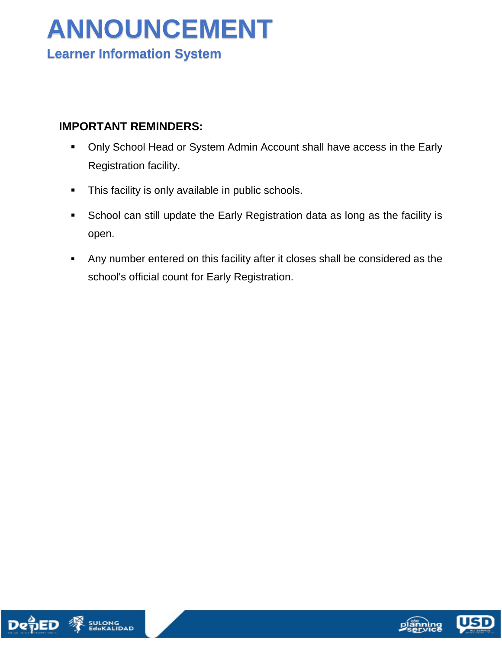## **ANNOUNCEMENT Learner Information System**

#### **IMPORTANT REMINDERS:**

- Only School Head or System Admin Account shall have access in the Early Registration facility.
- **This facility is only available in public schools.**
- School can still update the Early Registration data as long as the facility is open.
- Any number entered on this facility after it closes shall be considered as the school's official count for Early Registration.



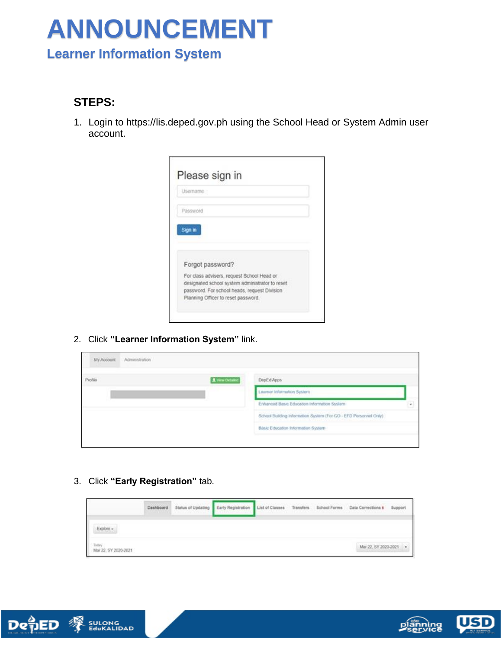### **Learner Information System**

#### **STEPS:**

1. Login to https://lis.deped.gov.ph using the School Head or System Admin user account.

| For class advisers, request School Head or<br>designated school system administrator to reset<br>password. For school heads, request Division |
|-----------------------------------------------------------------------------------------------------------------------------------------------|

2. Click **"Learner Information System"** link.

| Profile | 1 vew Detaind | DepEd Apps                                                       |   |
|---------|---------------|------------------------------------------------------------------|---|
|         |               | Learner Information System                                       |   |
|         |               | Enhanced Basic Education Information System                      | ٠ |
|         |               | School Building Information System (For CO - EFD Personnel Only) |   |
|         |               | Basic Education Information System-                              |   |

3. Click **"Early Registration"** tab.

|                               | Dashboard<br><b>STEPHENO</b> | Status of Updating<br><b>LATHER CONTRACTOR</b> | Early Registration | List of Classes Transfers School Forms |  | Data Corrections 5<br>State Library and Control | Suppor |
|-------------------------------|------------------------------|------------------------------------------------|--------------------|----------------------------------------|--|-------------------------------------------------|--------|
| Explone                       |                              |                                                |                    |                                        |  |                                                 |        |
| Today<br>Mar 22, SY 2020-2021 |                              |                                                |                    |                                        |  | Mar 22, SY 2020-2021                            |        |



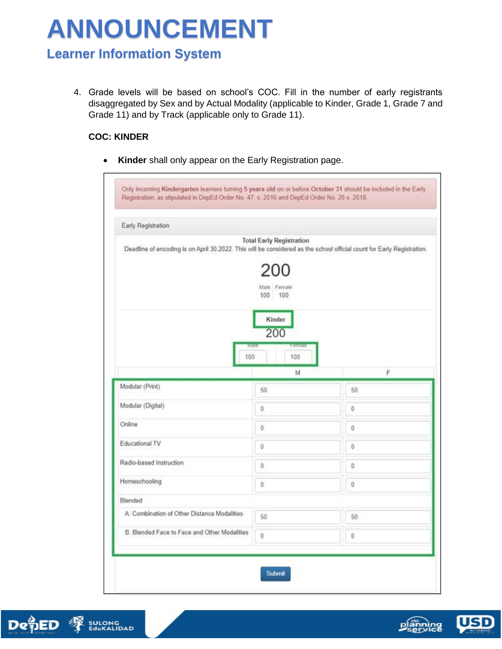### **Learner Information System**

4. Grade levels will be based on school's COC. Fill in the number of early registrants disaggregated by Sex and by Actual Modality (applicable to Kinder, Grade 1, Grade 7 and Grade 11) and by Track (applicable only to Grade 11).

#### **COC: KINDER**

**Kinder** shall only appear on the Early Registration page.

| Deadline of encoding is on April 30,2022. This will be considered as the school official count for Early Registration. | <b>Total Early Registration</b> |         |
|------------------------------------------------------------------------------------------------------------------------|---------------------------------|---------|
|                                                                                                                        | 200<br>Male Female              |         |
|                                                                                                                        | 100 100                         |         |
|                                                                                                                        | Kinder                          |         |
|                                                                                                                        | 200                             |         |
| INMINI<br>100                                                                                                          | <b>Pointure</b><br>100          |         |
|                                                                                                                        | M                               | F       |
| Modular (Print)                                                                                                        | 50                              | 50      |
| Modular (Digital)                                                                                                      | 0                               | $\bf 0$ |
| Online                                                                                                                 | o                               | 0       |
| Educational TV                                                                                                         | 0                               | Û       |
|                                                                                                                        | 0                               | 0       |
| Radio-based Instruction                                                                                                |                                 | 0       |
| Homeschooling                                                                                                          | 0                               |         |
| Blended                                                                                                                |                                 |         |
| A. Combination of Other Distance Modalities                                                                            | 50                              | 50      |



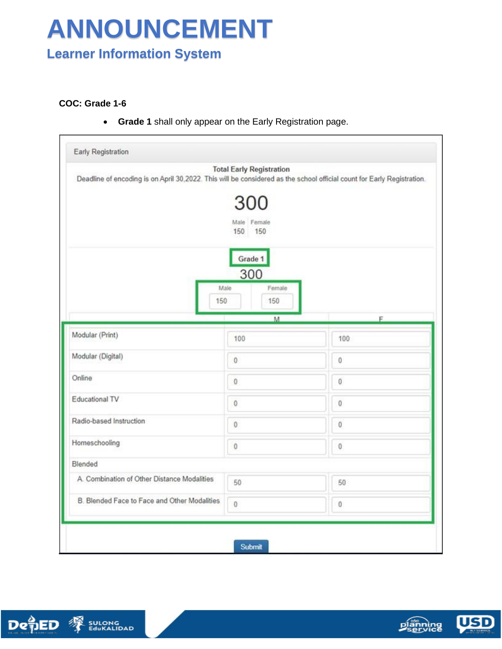### **Learner Information System**

#### **COC: Grade 1-6**

**Grade 1** shall only appear on the Early Registration page.

| Deadline of encoding is on April 30,2022. This will be considered as the school official count for Early Registration. | <b>Total Early Registration</b> |         |
|------------------------------------------------------------------------------------------------------------------------|---------------------------------|---------|
|                                                                                                                        | 300                             |         |
|                                                                                                                        | Male Female                     |         |
|                                                                                                                        | 150<br>150                      |         |
|                                                                                                                        | Grade 1                         |         |
|                                                                                                                        | 300                             |         |
| Male                                                                                                                   | Female                          |         |
| 150                                                                                                                    | 150                             |         |
|                                                                                                                        | M.                              | F       |
| Modular (Print)                                                                                                        | 100                             | 100     |
| Modular (Digital)                                                                                                      | $\bf 0$                         | 0       |
| Online                                                                                                                 | $\mathbf 0$                     | $0\,$   |
| Educational TV                                                                                                         | $\bf{0}$                        | $0\,$   |
| Radio-based Instruction                                                                                                | $\bf{0}$                        | 0       |
| Homeschooling                                                                                                          | $\mathbf 0$                     | 0       |
| Blended                                                                                                                |                                 |         |
| A. Combination of Other Distance Modalities                                                                            | 50                              | 50      |
| B. Blended Face to Face and Other Modalities                                                                           | $\theta$                        | $\bf 0$ |



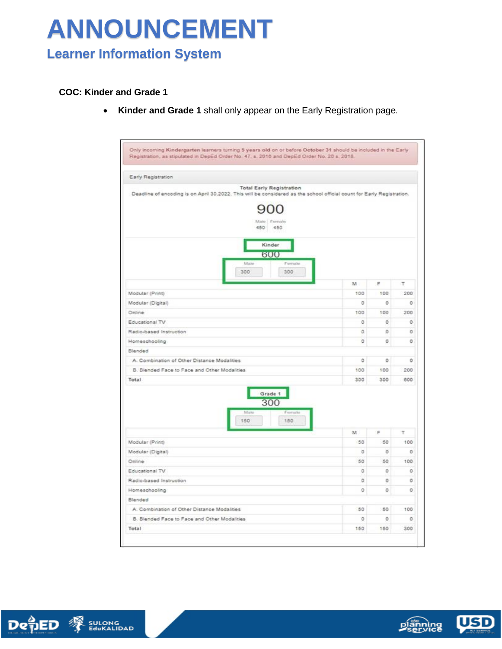## **Learner Information System**

#### **COC: Kinder and Grade 1**

**Kinder and Grade 1** shall only appear on the Early Registration page.

| Only incoming Kindergarten learners turning 5 years old on or before October 31 should be included in the Early<br>Registration, as stipulated in DepEd Order No. 47, s. 2016 and DepEd Order No. 20 s. 2018. |         |          |          |
|---------------------------------------------------------------------------------------------------------------------------------------------------------------------------------------------------------------|---------|----------|----------|
| Early Registration                                                                                                                                                                                            |         |          |          |
| <b>Total Early Registration</b><br>Deadline of encoding is on April 30.2022. This will be considered as the school official count for Early Registration.                                                     |         |          |          |
| Malo 7 Ferricks<br>450<br>450<br>Kinder<br>600                                                                                                                                                                |         |          |          |
| Male<br>Female<br>300<br>300                                                                                                                                                                                  |         |          |          |
|                                                                                                                                                                                                               | M       | $\equiv$ | Τ        |
| Modular (Print)                                                                                                                                                                                               | 100     | 100      | 200      |
| Modular (Digital)                                                                                                                                                                                             | O       | ö        | $\alpha$ |
| Online                                                                                                                                                                                                        | 100     | 100      | 200      |
| Educational TV                                                                                                                                                                                                | O       | O        | O        |
| Radio-based Instruction                                                                                                                                                                                       | ō       | O.       | o        |
| Homeschooling                                                                                                                                                                                                 | $\circ$ | O.       | O.       |
| Blended                                                                                                                                                                                                       |         |          |          |
| A. Combination of Other Distance Modalities                                                                                                                                                                   | ٥       | o        | ٥        |
| B. Blended Face to Face and Other Modalities                                                                                                                                                                  | 100     | 100      | 200      |
| Total<br>Grade 1<br>300                                                                                                                                                                                       | 300     | 300      | 600      |
| Maile<br>Female<br>150<br>150                                                                                                                                                                                 |         |          |          |
|                                                                                                                                                                                                               | M.      | F        | т        |
| Modular (Print)                                                                                                                                                                                               | 50      | 50       | 100      |
| Modular (Digital)                                                                                                                                                                                             | $\circ$ | ö        | $\alpha$ |
| Online                                                                                                                                                                                                        | 50      | 50       | 100      |
| Educational TV                                                                                                                                                                                                | O       | ٥        | ö        |
| Radio-based Instruction                                                                                                                                                                                       | $\circ$ | o        | ō        |
| Homeschooling                                                                                                                                                                                                 | ō       | o        | o        |
| Blended                                                                                                                                                                                                       |         |          |          |
| A. Combination of Other Distance Modalities                                                                                                                                                                   | 50      | 50       | 100      |
| B. Blended Face to Face and Other Modalities                                                                                                                                                                  | $\circ$ | ö        | o        |
| Total                                                                                                                                                                                                         | 150     | 150      | 300      |



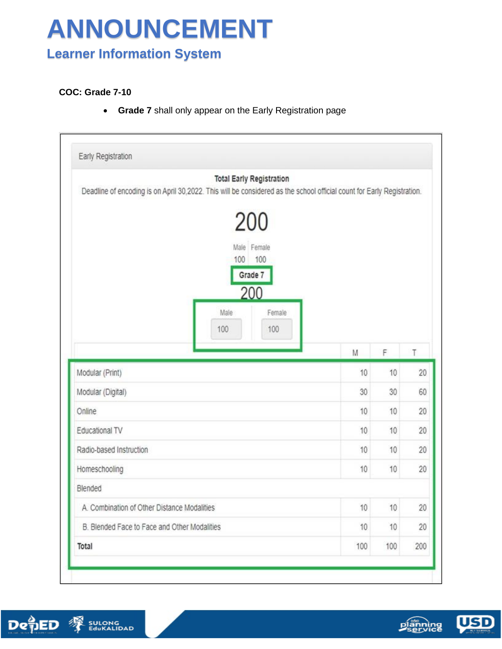### **Learner Information System**

#### **COC: Grade 7-10**

**Grade 7** shall only appear on the Early Registration page

| <b>Total Early Registration</b><br>Deadline of encoding is on April 30,2022. This will be considered as the school official count for Early Registration. |    |    |                            |
|-----------------------------------------------------------------------------------------------------------------------------------------------------------|----|----|----------------------------|
| 200<br>Male Female<br>100<br>100<br>Grade 7<br>200<br>Male<br>Female                                                                                      |    |    |                            |
| 100<br>100                                                                                                                                                | M  | F  | T                          |
|                                                                                                                                                           |    |    |                            |
|                                                                                                                                                           | 10 | 10 |                            |
|                                                                                                                                                           | 30 | 30 |                            |
|                                                                                                                                                           | 10 | 10 |                            |
|                                                                                                                                                           | 10 | 10 |                            |
|                                                                                                                                                           | 10 | 10 | 20<br>60<br>20<br>20<br>20 |
| Modular (Print)<br>Modular (Digital)<br>Online<br>Educational TV<br>Radio-based Instruction<br>Homeschooling                                              | 10 | 10 | 20                         |
|                                                                                                                                                           |    |    |                            |
| A. Combination of Other Distance Modalities                                                                                                               | 10 | 10 |                            |
| Blended<br>B. Blended Face to Face and Other Modalities                                                                                                   | 10 | 10 | 20<br>20                   |





**USD**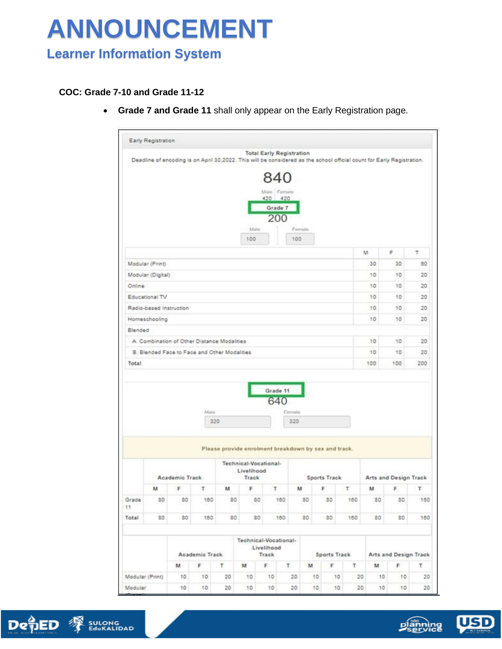### **Learner Information System**

#### **COC: Grade 7-10 and Grade 11-12**

**Grade 7 and Grade 11** shall only appear on the Early Registration page.







**USD**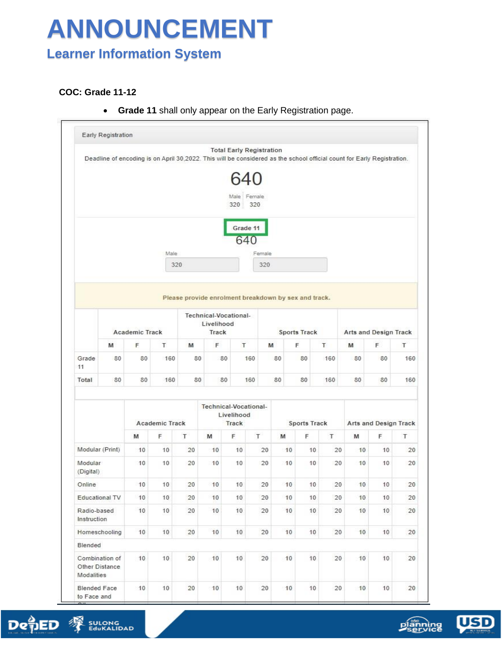### **Learner Information System**

#### **COC: Grade 11-12**

**Grade 11** shall only appear on the Early Registration page.







USD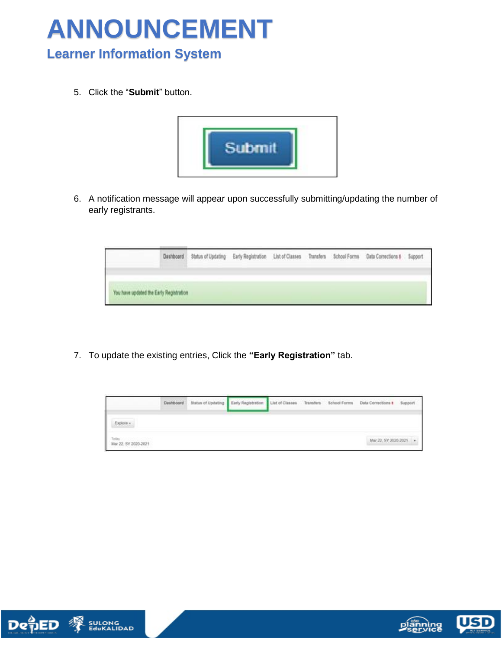

### **Learner Information System**

5. Click the "**Submit**" button.



6. A notification message will appear upon successfully submitting/updating the number of early registrants.

|                                                                                                                                                           | that 13 Park Linker is not to | Dashboard Status of Updating Early Registration List of Classes Transfers |  | School Forms | <b>Data Corrections #</b><br>and the first product of the first | Support |
|-----------------------------------------------------------------------------------------------------------------------------------------------------------|-------------------------------|---------------------------------------------------------------------------|--|--------------|-----------------------------------------------------------------|---------|
|                                                                                                                                                           |                               |                                                                           |  |              |                                                                 |         |
| You have updated the Early Registration<br>All A March 1990 and the Company of the Company of the Company of the Company of the Company of the Company of |                               |                                                                           |  |              |                                                                 |         |

7. To update the existing entries, Click the **"Early Registration"** tab.

|                                                            | Dashboard | <b>Status of Updating</b> | Early Registration | List of Classes Transfers | School Forms | Data Corrections &     | Support |
|------------------------------------------------------------|-----------|---------------------------|--------------------|---------------------------|--------------|------------------------|---------|
| Explore =                                                  |           |                           |                    |                           |              |                        |         |
| Mar 22, SY 2020-2021<br>and a series of the control of the |           |                           |                    |                           |              | Mar 22, SY 2020-2021 . |         |